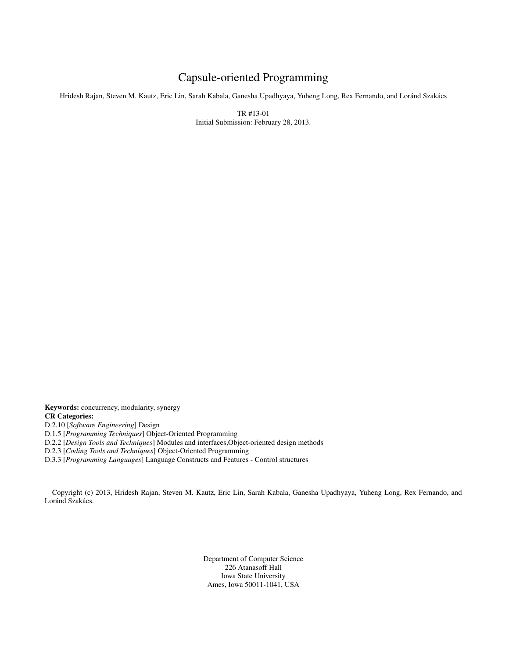# Capsule-oriented Programming

Hridesh Rajan, Steven M. Kautz, Eric Lin, Sarah Kabala, Ganesha Upadhyaya, Yuheng Long, Rex Fernando, and Loránd Szakács

TR #13-01 Initial Submission: February 28, 2013.

Keywords: concurrency, modularity, synergy CR Categories:

D.2.10 [*Software Engineering*] Design

D.1.5 [*Programming Techniques*] Object-Oriented Programming

D.2.2 [*Design Tools and Techniques*] Modules and interfaces,Object-oriented design methods

D.2.3 [*Coding Tools and Techniques*] Object-Oriented Programming

D.3.3 [*Programming Languages*] Language Constructs and Features - Control structures

Copyright (c) 2013, Hridesh Rajan, Steven M. Kautz, Eric Lin, Sarah Kabala, Ganesha Upadhyaya, Yuheng Long, Rex Fernando, and Loránd Szakács.

> Department of Computer Science 226 Atanasoff Hall Iowa State University Ames, Iowa 50011-1041, USA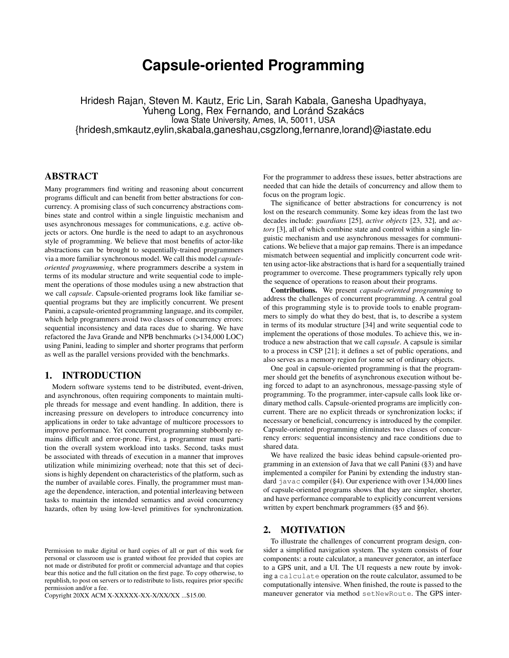# **Capsule-oriented Programming**

Hridesh Rajan, Steven M. Kautz, Eric Lin, Sarah Kabala, Ganesha Upadhyaya, Yuheng Long, Rex Fernando, and Loránd Szakács Iowa State University, Ames, IA, 50011, USA {hridesh,smkautz,eylin,skabala,ganeshau,csgzlong,fernanre,lorand}@iastate.edu

# ABSTRACT

Many programmers find writing and reasoning about concurrent programs difficult and can benefit from better abstractions for concurrency. A promising class of such concurrency abstractions combines state and control within a single linguistic mechanism and uses asynchronous messages for communications, e.g. active objects or actors. One hurdle is the need to adapt to an asychronous style of programming. We believe that most benefits of actor-like abstractions can be brought to sequentially-trained programmers via a more familiar synchronous model. We call this model *capsuleoriented programming*, where programmers describe a system in terms of its modular structure and write sequential code to implement the operations of those modules using a new abstraction that we call *capsule*. Capsule-oriented programs look like familiar sequential programs but they are implicitly concurrent. We present Panini, a capsule-oriented programming language, and its compiler, which help programmers avoid two classes of concurrency errors: sequential inconsistency and data races due to sharing. We have refactored the Java Grande and NPB benchmarks (>134,000 LOC) using Panini, leading to simpler and shorter programs that perform as well as the parallel versions provided with the benchmarks.

# 1. INTRODUCTION

Modern software systems tend to be distributed, event-driven, and asynchronous, often requiring components to maintain multiple threads for message and event handling. In addition, there is increasing pressure on developers to introduce concurrency into applications in order to take advantage of multicore processors to improve performance. Yet concurrent programming stubbornly remains difficult and error-prone. First, a programmer must partition the overall system workload into tasks. Second, tasks must be associated with threads of execution in a manner that improves utilization while minimizing overhead; note that this set of decisions is highly dependent on characteristics of the platform, such as the number of available cores. Finally, the programmer must manage the dependence, interaction, and potential interleaving between tasks to maintain the intended semantics and avoid concurrency hazards, often by using low-level primitives for synchronization.

Copyright 20XX ACM X-XXXXX-XX-X/XX/XX ...\$15.00.

For the programmer to address these issues, better abstractions are needed that can hide the details of concurrency and allow them to focus on the program logic.

The significance of better abstractions for concurrency is not lost on the research community. Some key ideas from the last two decades include: *guardians* [25], *active objects* [23, 32], and *actors* [3], all of which combine state and control within a single linguistic mechanism and use asynchronous messages for communications. We believe that a major gap remains. There is an impedance mismatch between sequential and implicitly concurrent code written using actor-like abstractions that is hard for a sequentially trained programmer to overcome. These programmers typically rely upon the sequence of operations to reason about their programs.

Contributions. We present *capsule-oriented programming* to address the challenges of concurrent programming. A central goal of this programming style is to provide tools to enable programmers to simply do what they do best, that is, to describe a system in terms of its modular structure [34] and write sequential code to implement the operations of those modules. To achieve this, we introduce a new abstraction that we call *capsule*. A capsule is similar to a process in CSP [21]; it defines a set of public operations, and also serves as a memory region for some set of ordinary objects.

One goal in capsule-oriented programming is that the programmer should get the benefits of asynchronous execution without being forced to adapt to an asynchronous, message-passing style of programming. To the programmer, inter-capsule calls look like ordinary method calls. Capsule-oriented programs are implicitly concurrent. There are no explicit threads or synchronization locks; if necessary or beneficial, concurrency is introduced by the compiler. Capsule-oriented programming eliminates two classes of concurrency errors: sequential inconsistency and race conditions due to shared data.

We have realized the basic ideas behind capsule-oriented programming in an extension of Java that we call Panini (§3) and have implemented a compiler for Panini by extending the industry standard javac compiler (§4). Our experience with over 134,000 lines of capsule-oriented programs shows that they are simpler, shorter, and have performance comparable to explicitly concurrent versions written by expert benchmark programmers (§5 and §6).

# 2. MOTIVATION

To illustrate the challenges of concurrent program design, consider a simplified navigation system. The system consists of four components: a route calculator, a maneuver generator, an interface to a GPS unit, and a UI. The UI requests a new route by invoking a calculate operation on the route calculator, assumed to be computationally intensive. When finished, the route is passed to the maneuver generator via method setNewRoute. The GPS inter-

Permission to make digital or hard copies of all or part of this work for personal or classroom use is granted without fee provided that copies are not made or distributed for profit or commercial advantage and that copies bear this notice and the full citation on the first page. To copy otherwise, to republish, to post on servers or to redistribute to lists, requires prior specific permission and/or a fee.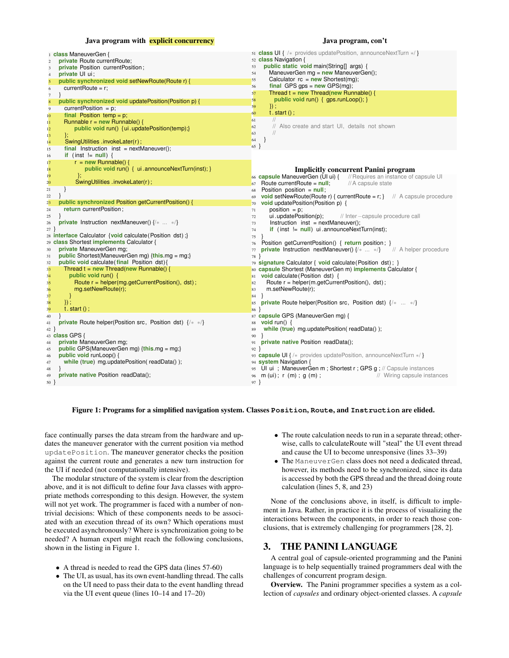#### Java program with **explicit concurrency**

#### Java program, con't

| 1 class ManeuverGen {                                                   | 51 <b>class UI</b> { /* provides updatePosition, announceNextTurn $*$ }                     |
|-------------------------------------------------------------------------|---------------------------------------------------------------------------------------------|
| private Route currentRoute;<br>$\overline{2}$                           | 52 class Navigation {                                                                       |
| private Position current Position;<br>3                                 | public static void main(String[] args) {<br>53                                              |
| private UI ui;<br>$\overline{4}$                                        | ManeuverGen mg = new ManeuverGen();<br>54                                                   |
| public synchronized void setNewRoute(Route r) {<br>5                    | Calculator $rc = new Shortest(mg);$<br>55                                                   |
| currentRoute = $r$ ;                                                    | final GPS $qps = new GPS(mg);$<br>56                                                        |
| 6                                                                       | Thread $t = new Thread(new Runnable()$<br>57                                                |
| $7\phantom{.0}$                                                         | public void run() { gps.runLoop(); }<br>58                                                  |
| public synchronized void updatePosition(Position p) {<br>$\bf8$         | 59                                                                                          |
| current Position = $p$ ;<br>9                                           | $\}$ );                                                                                     |
| final Position temp = $p$ ;<br>10 <sup>°</sup>                          | $t. start()$ ;<br>60                                                                        |
| Runnable $r = new$ Runnable() {<br>11                                   | $\frac{1}{2}$<br>61                                                                         |
| public void run() { ui. updatePosition(temp);}<br>12 <sup>2</sup>       | // Also create and start UI, details not shown<br>62                                        |
| Έ.<br>13                                                                | $\frac{1}{2}$<br>63                                                                         |
| SwingUtilities.invokeLater(r);<br>14                                    | 64<br>}                                                                                     |
| final Instruction inst = $nextManager();$                               | $65$ }                                                                                      |
| 15                                                                      |                                                                                             |
| if (inst $!=$ null) {<br>16                                             |                                                                                             |
| $r = new Runnable()$<br>17                                              |                                                                                             |
| public void run() { ui.announceNextTurn(inst); }<br>18                  | <b>Implicitly concurrent Panini program</b>                                                 |
| Τ.<br>19                                                                | 66 <b>capsule ManeuverGen (UI ui)</b> $\{$ // Requires an instance of capsule UI            |
| SwingUtilities.invokeLater(r);<br>20                                    | Route current Route = $null$ ;<br>// A capsule state<br>67                                  |
| }<br>21                                                                 | Position position = $null$ ;<br>68                                                          |
| 22                                                                      | <b>void setNewRoute(Route r) { currentRoute = r; }</b> // A capsule procedure               |
| public synchronized Position getCurrentPosition() {                     | 69                                                                                          |
| 23                                                                      | void updatePosition(Position p) {<br>70                                                     |
| return current Position:<br>24                                          | $position = p$ ;<br>71                                                                      |
| 25                                                                      | ui.updatePosition(p);<br>// Inter-capsule procedure call<br>72                              |
| <b>private</b> Instruction nextManeuver() $\{/* \dots */\}$<br>26       | $Instruction$ inst = nextManeuver();<br>73                                                  |
| 27                                                                      | if $(int = null)$ ui.announceNextTurn(inst);<br>74                                          |
| 28 interface Calculator {void calculate (Position dst) ;}               | 75                                                                                          |
| 29 class Shortest implements Calculator {                               | Position getCurrentPosition() { return position; }<br>76                                    |
| private ManeuverGen mg;<br>30                                           | <b>private Instruction nextManeuver()</b> $\{1, 2, \ldots, n\}$ // A helper procedure<br>77 |
| <b>public</b> Shortest(ManeuverGen mg) $\{this \text{.mg} = mg\}$<br>31 | 78 }                                                                                        |
| public void calculate (final Position dst) {<br>32                      | 79 signature Calculator { void calculate (Position dst); }                                  |
| Thread $t = new Thread(new Runnable()$                                  |                                                                                             |
| 3 <sub>3</sub>                                                          | 80 capsule Shortest (ManeuverGen m) implements Calculator {                                 |
| public void run() {<br>34                                               | 81 void calculate (Position dst) {                                                          |
| Route r = helper(mg.getCurrentPosition(), dst);<br>35                   | Route $r = \text{heller}(m.getCurrentPosition(), \text{dst)});$<br>82                       |
| mg.setNewRoute(r);<br>36                                                | m.setNewRoute(r);<br>83                                                                     |
| <sup>}</sup><br>37                                                      | 84<br>$\mathcal{F}$                                                                         |
| $\}$ :<br>38                                                            | <b>private</b> Route helper(Position src, Position dst) $\{1, 2, \ldots, n\}$<br>85         |
| $t. start()$ ;<br>39                                                    | 86                                                                                          |
| 40                                                                      | 87 capsule GPS (ManeuverGen mg) {                                                           |
| private Route helper(Position src, Position dst) {/* */}<br>41          | 88 void run() {                                                                             |
| 42                                                                      | while (true) mg.updatePosition(readData());<br>89                                           |
| 43 <b>class GPS</b> {                                                   |                                                                                             |
|                                                                         | 90                                                                                          |
| private ManeuverGen mg;<br>44                                           | private native Position readData();<br>91                                                   |
| public GPS(ManeuverGen mg) {this.mg = mg;}<br>45                        | $92$ }                                                                                      |
| public void runLoop() {<br>46                                           | 93 <b>capsule UI</b> {/* provides updatePosition, announceNextTurn $*/$ }                   |
|                                                                         |                                                                                             |
| while (true) mg.updatePosition(readData());<br>47                       | 94 system Navigation {                                                                      |
| 48                                                                      | 95 Ul ui ; ManeuverGen m ; Shortest r ; GPS g ; // Capsule instances                        |
| private native Position readData();<br>49                               | $96 \text{ m (ui)}$ ; r (m); g (m);<br>// Wiring capsule instances                          |
| $50 \}$                                                                 | $97$ }                                                                                      |

#### Figure 1: Programs for a simplified navigation system. Classes **Position**, **Route**, and **Instruction** are elided.

face continually parses the data stream from the hardware and updates the maneuver generator with the current position via method updatePosition. The maneuver generator checks the position against the current route and generates a new turn instruction for the UI if needed (not computationally intensive).

The modular structure of the system is clear from the description above, and it is not difficult to define four Java classes with appropriate methods corresponding to this design. However, the system will not yet work. The programmer is faced with a number of nontrivial decisions: Which of these components needs to be associated with an execution thread of its own? Which operations must be executed asynchronously? Where is synchronization going to be needed? A human expert might reach the following conclusions, shown in the listing in Figure 1.

- A thread is needed to read the GPS data (lines 57-60)
- The UI, as usual, has its own event-handling thread. The calls on the UI need to pass their data to the event handling thread via the UI event queue (lines 10–14 and 17–20)
- The route calculation needs to run in a separate thread; otherwise, calls to calculateRoute will "steal" the UI event thread and cause the UI to become unresponsive (lines 33–39)
- The ManeuverGen class does not need a dedicated thread, however, its methods need to be synchronized, since its data is accessed by both the GPS thread and the thread doing route calculation (lines 5, 8, and 23)

None of the conclusions above, in itself, is difficult to implement in Java. Rather, in practice it is the process of visualizing the interactions between the components, in order to reach those conclusions, that is extremely challenging for programmers [28, 2].

## 3. THE PANINI LANGUAGE

A central goal of capsule-oriented programming and the Panini language is to help sequentially trained programmers deal with the challenges of concurrent program design.

Overview. The Panini programmer specifies a system as a collection of *capsules* and ordinary object-oriented classes. A *capsule*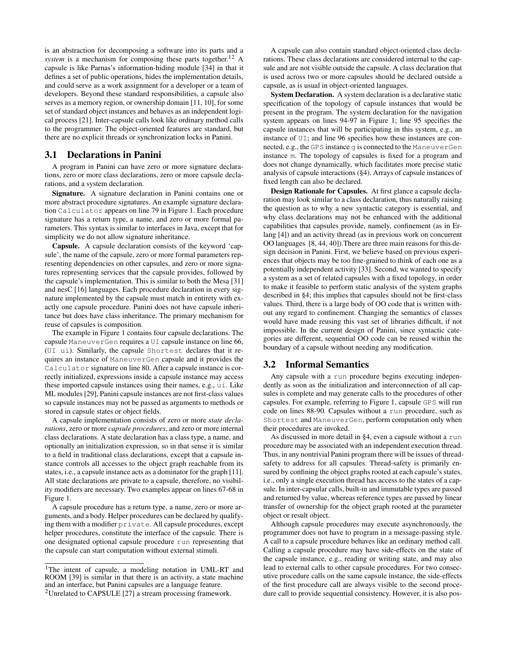is an abstraction for decomposing a software into its parts and a *system* is a mechanism for composing these parts together.<sup>12</sup> A capsule is like Parnas's information-hiding module [34] in that it defines a set of public operations, hides the implementation details, and could serve as a work assignment for a developer or a team of developers. Beyond these standard responsibilities, a capsule also serves as a memory region, or ownership domain [11, 10], for some set of standard object instances and behaves as an independent logical process [21]. Inter-capsule calls look like ordinary method calls to the programmer. The object-oriented features are standard, but there are no explicit threads or synchronization locks in Panini.

# 3.1 Declarations in Panini

A program in Panini can have zero or more signature declarations, zero or more class declarations, zero or more capsule declarations, and a system declaration.

Signature. A signature declaration in Panini contains one or more abstract procedure signatures. An example signature declaration Calculator appears on line 79 in Figure 1. Each procedure signature has a return type, a name, and zero or more formal parameters. This syntax is similar to interfaces in Java, except that for simplicity we do not allow signature inheritance.

Capsule. A capsule declaration consists of the keyword 'capsule', the name of the capsule, zero or more formal parameters representing dependencies on other capsules, and zero or more signatures representing services that the capsule provides, followed by the capsule's implementation. This is similar to both the Mesa [31] and nesC [16] languages. Each procedure declaration in every signature implemented by the capsule must match in entirety with exactly one capsule procedure. Panini does not have capsule inheritance but does have class inheritance. The primary mechanism for reuse of capsules is composition.

The example in Figure 1 contains four capsule declarations. The capsule ManeuverGen requires a UI capsule instance on line 66, (UI ui). Similarly, the capsule Shortest declares that it requires an instance of ManeuverGen capsule and it provides the Calculator signature on line 80. After a capsule instance is correctly initialized, expressions inside a capsule instance may access these imported capsule instances using their names, e.g., ui. Like ML modules [29], Panini capsule instances are not first-class values so capsule instances may not be passed as arguments to methods or stored in capsule states or object fields.

A capsule implementation consists of zero or more *state declarations*, zero or more *capsule procedures*, and zero or more internal class declarations. A state declaration has a class type, a name, and optionally an initialization expression, so in that sense it is similar to a field in traditional class declarations, except that a capsule instance controls all accesses to the object graph reachable from its states, i.e., a capsule instance acts as a dominator for the graph [11]. All state declarations are private to a capsule, therefore, no visibility modifiers are necessary. Two examples appear on lines 67-68 in Figure 1.

A capsule procedure has a return type, a name, zero or more arguments, and a body. Helper procedures can be declared by qualifying them with a modifier private. All capsule procedures, except helper procedures, constitute the interface of the capsule. There is one designated optional capsule procedure run representing that the capsule can start computation without external stimuli.

A capsule can also contain standard object-oriented class declarations. These class declarations are considered internal to the capsule and are not visible outside the capsule. A class declaration that is used across two or more capsules should be declared outside a capsule, as is usual in object-oriented languages.

System Declaration. A system declaration is a declarative static specification of the topology of capsule instances that would be present in the program. The system declaration for the navigation system appears on lines 94-97 in Figure 1; line 95 specifies the capsule instances that will be participating in this system, e.g., an instance of UI; and line 96 specifies how these instances are connected, e.g., the GPS instance g is connected to the ManeuverGen instance m. The topology of capsules is fixed for a program and does not change dynamically, which facilitates more precise static analysis of capsule interactions (§4). Arrays of capsule instances of fixed length can also be declared.

Design Rationale for Capsules. At first glance a capsule declaration may look similar to a class declaration, thus naturally raising the question as to why a new syntactic category is essential, and why class declarations may not be enhanced with the additional capabilities that capsules provide, namely, confinement (as in Erlang [4]) and an activity thread (as in previous work on concurrent OO languages [8, 44, 40]).There are three main reasons for this design decision in Panini. First, we believe based on previous experiences that objects may be too fine-grained to think of each one as a potentially independent activity [33]. Second, we wanted to specify a system as a set of related capsules with a fixed topology, in order to make it feasible to perform static analysis of the system graphs described in §4; this implies that capsules should not be first-class values. Third, there is a large body of OO code that is written without any regard to confinement. Changing the semantics of classes would have made reusing this vast set of libraries difficult, if not impossible. In the current design of Panini, since syntactic categories are different, sequential OO code can be reused within the boundary of a capsule without needing any modification.

## 3.2 Informal Semantics

Any capsule with a run procedure begins executing independently as soon as the initialization and interconnection of all capsules is complete and may generate calls to the procedures of other capsules. For example, referring to Figure 1, capsule GPS will run code on lines 88-90. Capsules without a run procedure, such as Shortest and ManeuverGen, perform computation only when their procedures are invoked.

As discussed in more detail in §4, even a capsule without a run procedure may be associated with an independent execution thread. Thus, in any nontrivial Panini program there will be issues of threadsafety to address for all capsules. Thread-safety is primarily ensured by confining the object graphs rooted at each capsule's states, i.e., only a single execution thread has access to the states of a capsule. In inter-capsular calls, built-in and immutable types are passed and returned by value, whereas reference types are passed by linear transfer of ownership for the object graph rooted at the parameter object or result object.

Although capsule procedures may execute asynchronously, the programmer does not have to program in a message-passing style. A call to a capsule procedure behaves like an ordinary method call. Calling a capsule procedure may have side-effects on the state of the capsule instance, e.g., reading or writing state, and may also lead to external calls to other capsule procedures. For two consecutive procedure calls on the same capsule instance, the side-effects of the first procedure call are always visible to the second procedure call to provide sequential consistency. However, it is also pos-

<sup>&</sup>lt;sup>1</sup>The intent of capsule, a modeling notation in UML-RT and ROOM [39] is similar in that there is an activity, a state machine and an interface, but Panini capsules are a language feature.

<sup>&</sup>lt;sup>2</sup>Unrelated to CAPSULE [27] a stream processing framework.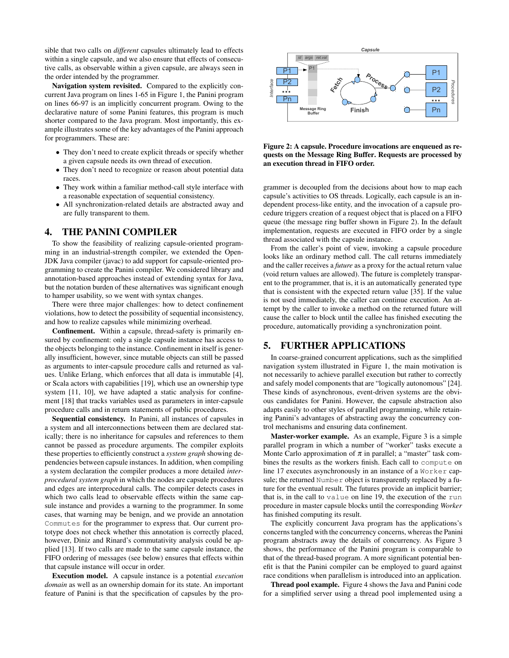sible that two calls on *different* capsules ultimately lead to effects within a single capsule, and we also ensure that effects of consecutive calls, as observable within a given capsule, are always seen in the order intended by the programmer.

Navigation system revisited. Compared to the explicitly concurrent Java program on lines 1-65 in Figure 1, the Panini program on lines 66-97 is an implicitly concurrent program. Owing to the declarative nature of some Panini features, this program is much shorter compared to the Java program. Most importantly, this example illustrates some of the key advantages of the Panini approach for programmers. These are:

- They don't need to create explicit threads or specify whether a given capsule needs its own thread of execution.
- They don't need to recognize or reason about potential data races.
- They work within a familiar method-call style interface with a reasonable expectation of sequential consistency.
- All synchronization-related details are abstracted away and are fully transparent to them.

# 4. THE PANINI COMPILER

To show the feasibility of realizing capsule-oriented programming in an industrial-strength compiler, we extended the Open-JDK Java compiler (javac) to add support for capsule-oriented programming to create the Panini compiler. We considered library and annotation-based approaches instead of extending syntax for Java, but the notation burden of these alternatives was significant enough to hamper usability, so we went with syntax changes.

There were three major challenges: how to detect confinement violations, how to detect the possibility of sequential inconsistency, and how to realize capsules while minimizing overhead.

Confinement. Within a capsule, thread-safety is primarily ensured by confinement: only a single capsule instance has access to the objects belonging to the instance. Confinement in itself is generally insufficient, however, since mutable objects can still be passed as arguments to inter-capsule procedure calls and returned as values. Unlike Erlang, which enforces that all data is immutable [4], or Scala actors with capabilities [19], which use an ownership type system [11, 10], we have adapted a static analysis for confinement [18] that tracks variables used as parameters in inter-capsule procedure calls and in return statements of public procedures.

Sequential consistency. In Panini, all instances of capsules in a system and all interconnections between them are declared statically; there is no inheritance for capsules and references to them cannot be passed as procedure arguments. The compiler exploits these properties to efficiently construct a *system graph* showing dependencies between capsule instances. In addition, when compiling a system declaration the compiler produces a more detailed *interprocedural system graph* in which the nodes are capsule procedures and edges are interprocedural calls. The compiler detects cases in which two calls lead to observable effects within the same capsule instance and provides a warning to the programmer. In some cases, that warning may be benign, and we provide an annotation Commutes for the programmer to express that. Our current prototype does not check whether this annotation is correctly placed, however, Diniz and Rinard's commutativity analysis could be applied [13]. If two calls are made to the same capsule instance, the FIFO ordering of messages (see below) ensures that effects within that capsule instance will occur in order.

Execution model. A capsule instance is a potential *execution domain* as well as an ownership domain for its state. An important feature of Panini is that the specification of capsules by the pro-



Figure 2: A capsule. Procedure invocations are enqueued as requests on the Message Ring Buffer. Requests are processed by an execution thread in FIFO order.

grammer is decoupled from the decisions about how to map each capsule's activities to OS threads. Logically, each capsule is an independent process-like entity, and the invocation of a capsule procedure triggers creation of a request object that is placed on a FIFO queue (the message ring buffer shown in Figure 2). In the default implementation, requests are executed in FIFO order by a single thread associated with the capsule instance.

From the caller's point of view, invoking a capsule procedure looks like an ordinary method call. The call returns immediately and the caller receives a *future* as a proxy for the actual return value (void return values are allowed). The future is completely transparent to the programmer, that is, it is an automatically generated type that is consistent with the expected return value [35]. If the value is not used immediately, the caller can continue execution. An attempt by the caller to invoke a method on the returned future will cause the caller to block until the callee has finished executing the procedure, automatically providing a synchronization point.

## 5. FURTHER APPLICATIONS

In coarse-grained concurrent applications, such as the simplified navigation system illustrated in Figure 1, the main motivation is not necessarily to achieve parallel execution but rather to correctly and safely model components that are "logically autonomous" [24]. These kinds of asynchronous, event-driven systems are the obvious candidates for Panini. However, the capsule abstraction also adapts easily to other styles of parallel programming, while retaining Panini's advantages of abstracting away the concurrency control mechanisms and ensuring data confinement.

Master-worker example. As an example, Figure 3 is a simple parallel program in which a number of "worker" tasks execute a Monte Carlo approximation of  $\pi$  in parallel; a "master" task combines the results as the workers finish. Each call to compute on line 17 executes asynchronously in an instance of a Worker capsule; the returned Number object is transparently replaced by a future for the eventual result. The futures provide an implicit barrier; that is, in the call to value on line 19, the execution of the run procedure in master capsule blocks until the corresponding *Worker* has finished computing its result.

The explicitly concurrent Java program has the applications's concerns tangled with the concurrency concerns, whereas the Panini program abstracts away the details of concurrency. As Figure 3 shows, the performance of the Panini program is comparable to that of the thread-based program. A more significant potential benefit is that the Panini compiler can be employed to guard against race conditions when parallelism is introduced into an application.

Thread pool example. Figure 4 shows the Java and Panini code for a simplified server using a thread pool implemented using a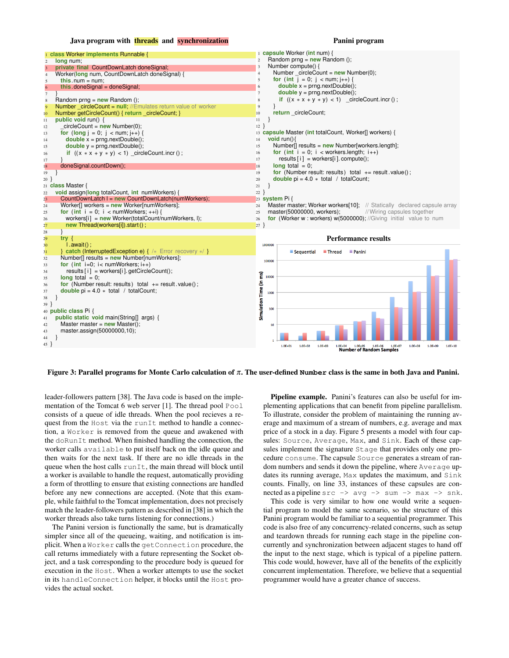#### Java program with threads and synchronization

#### Panini program



Figure 3: Parallel programs for Monte Carlo calculation of π. The user-defined **Number** class is the same in both Java and Panini.

leader-followers pattern [38]. The Java code is based on the implementation of the Tomcat 6 web server [1]. The thread pool Pool consists of a queue of idle threads. When the pool recieves a request from the Host via the runIt method to handle a connection, a Worker is removed from the queue and awakened with the doRunIt method. When finished handling the connection, the worker calls available to put itself back on the idle queue and then waits for the next task. If there are no idle threads in the queue when the host calls runIt, the main thread will block until a worker is available to handle the request, automatically providing a form of throttling to ensure that existing connections are handled before any new connections are accepted. (Note that this example, while faithful to the Tomcat implementation, does not precisely match the leader-followers pattern as described in [38] in which the worker threads also take turns listening for connections.)

The Panini version is functionally the same, but is dramatically simpler since all of the queueing, waiting, and notification is implicit. When a Worker calls the getConnection procedure, the call returns immediately with a future representing the Socket object, and a task corresponding to the procedure body is queued for execution in the Host. When a worker attempts to use the socket in its handleConnection helper, it blocks until the Host provides the actual socket.

Pipeline example. Panini's features can also be useful for implementing applications that can benefit from pipeline parallelism. To illustrate, consider the problem of maintaining the running average and maximum of a stream of numbers, e.g. average and max price of a stock in a day. Figure 5 presents a model with four capsules: Source, Average, Max, and Sink. Each of these capsules implement the signature Stage that provides only one procedure consume. The capsule Source generates a stream of random numbers and sends it down the pipeline, where Average updates its running average, Max updates the maximum, and Sink counts. Finally, on line 33, instances of these capsules are connected as a pipeline  $src \rightarrow avg \rightarrow sum \rightarrow max \rightarrow snk$ .

This code is very similar to how one would write a sequential program to model the same scenario, so the structure of this Panini program would be familiar to a sequential programmer. This code is also free of any concurrency-related concerns, such as setup and teardown threads for running each stage in the pipeline concurrently and synchronization between adjacent stages to hand off the input to the next stage, which is typical of a pipeline pattern. This code would, however, have all of the benefits of the explicitly concurrent implementation. Therefore, we believe that a sequential programmer would have a greater chance of success.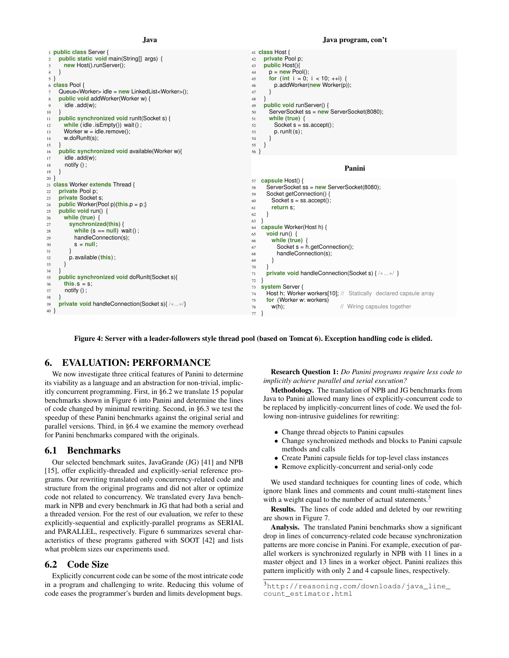#### Java



#### Figure 4: Server with a leader-followers style thread pool (based on Tomcat 6). Exception handling code is elided.

# 6. EVALUATION: PERFORMANCE

We now investigate three critical features of Panini to determine its viability as a language and an abstraction for non-trivial, implicitly concurrent programming. First, in §6.2 we translate 15 popular benchmarks shown in Figure 6 into Panini and determine the lines of code changed by minimal rewriting. Second, in §6.3 we test the speedup of these Panini benchmarks against the original serial and parallel versions. Third, in §6.4 we examine the memory overhead for Panini benchmarks compared with the originals.

#### 6.1 Benchmarks

Our selected benchmark suites, JavaGrande (JG) [41] and NPB [15], offer explicitly-threaded and explicitly-serial reference programs. Our rewriting translated only concurrency-related code and structure from the original programs and did not alter or optimize code not related to concurrency. We translated every Java benchmark in NPB and every benchmark in JG that had both a serial and a threaded version. For the rest of our evaluation, we refer to these explicitly-sequential and explicitly-parallel programs as SERIAL and PARALLEL, respectively. Figure 6 summarizes several characteristics of these programs gathered with SOOT [42] and lists what problem sizes our experiments used.

### 6.2 Code Size

Explicitly concurrent code can be some of the most intricate code in a program and challenging to write. Reducing this volume of code eases the programmer's burden and limits development bugs.

Research Question 1: *Do Panini programs require less code to implicitly achieve parallel and serial execution?*

Methodology. The translation of NPB and JG benchmarks from Java to Panini allowed many lines of explicitly-concurrent code to be replaced by implicitly-concurrent lines of code. We used the following non-intrusive guidelines for rewriting:

- Change thread objects to Panini capsules
- Change synchronized methods and blocks to Panini capsule methods and calls
- Create Panini capsule fields for top-level class instances
- Remove explicitly-concurrent and serial-only code

We used standard techniques for counting lines of code, which ignore blank lines and comments and count multi-statement lines with a weight equal to the number of actual statements.<sup>3</sup>

Results. The lines of code added and deleted by our rewriting are shown in Figure 7.

Analysis. The translated Panini benchmarks show a significant drop in lines of concurrency-related code because synchronization patterns are more concise in Panini. For example, execution of parallel workers is synchronized regularly in NPB with 11 lines in a master object and 13 lines in a worker object. Panini realizes this pattern implicitly with only 2 and 4 capsule lines, respectively.

#### Java program, con't

<sup>3</sup>http://reasoning.com/downloads/java\_line\_ count\_estimator.html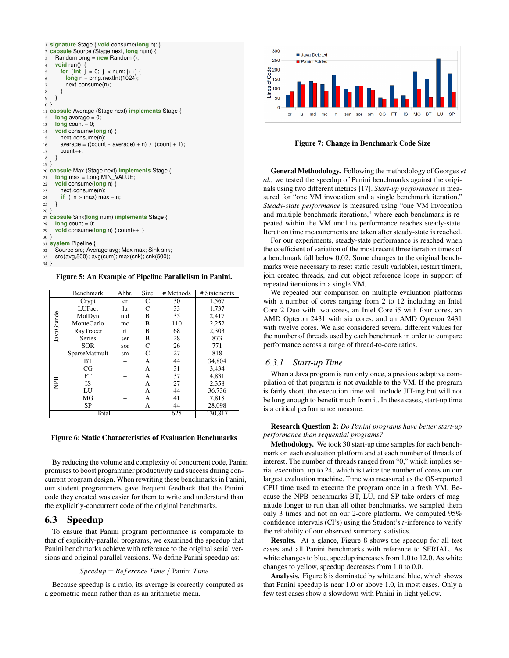|                | 1 signature Stage { void consume(long n); }              |
|----------------|----------------------------------------------------------|
| 2              | capsule Source (Stage next, long num) {                  |
| 3              | Random prng = $new$ Random ();                           |
| $\overline{4}$ | void run() {                                             |
| 5              | for (int $j = 0$ ; $j <$ num; $j_{++}$ ) {               |
| 6              | $long n = prnq.nextInt(1024);$                           |
| 7              | next.consume(n);                                         |
| 8              | ł                                                        |
| 9              | ∤                                                        |
| 10             | ł                                                        |
|                | 11 capsule Average (Stage next) implements Stage {       |
| 12             | $long average = 0$ ;                                     |
| 13             | $\lambda$ count = 0;                                     |
| 14             | void consume(long $n$ ) {                                |
| 15             | next.consume(n);                                         |
| 16             | $average = ((count * average) + n) / (count + 1);$       |
| 17             | $count++$ :                                              |
| 18             | ł                                                        |
| $19$ }         |                                                          |
|                | 20 capsule Max (Stage next) implements Stage {           |
| 21             | $long max = Long.MIN$ VALUE;                             |
| 22             | void consume(long n) {                                   |
| 23             | next.consume(n);                                         |
| 24             | if $(n > max)$ max = n;                                  |
| 25             | ł                                                        |
| $26 \}$        |                                                          |
|                |                                                          |
|                | 27 capsule Sink(long num) implements Stage {             |
| 28             | $\lambda$ count = 0;                                     |
| 29             | void consume(long n) { $count++$ ; }                     |
| 30             | ₹                                                        |
|                | 31 system Pipeline {                                     |
| 32             | Source src; Average avg; Max max; Sink snk;              |
| 33             | $src(avg, 500)$ ; $avg(sum)$ ; $max(shk)$ ; $snk(500)$ ; |
| 34             |                                                          |

Figure 5: An Example of Pipeline Parallelism in Panini.

|            | <b>Benchmark</b> | Abbr. | <b>Size</b> | # Methods | $#$ Statements |
|------------|------------------|-------|-------------|-----------|----------------|
|            | Crypt            | cr    | C           | 30        | 1,567          |
|            | LUFact           | lu    | C           | 33        | 1,737          |
|            | MolDyn           | md    | B           | 35        | 2.417          |
| JavaGrande | MonteCarlo       | mc    | B           | 110       | 2,252          |
|            | RayTracer        | rt    | B           | 68        | 2,303          |
|            | <b>Series</b>    | ser   | B           | 28        | 873            |
|            | <b>SOR</b>       | sor   | C           | 26        | 771            |
|            | SparseMatmult    | sm    | C           | 27        | 818            |
|            | <b>BT</b>        |       | А           | 44        | 34,804         |
|            | CG               |       | A           | 31        | 3,434          |
|            | FT               |       | А           | 37        | 4,831          |
| PВ         | <b>IS</b>        |       | А           | 27        | 2,358          |
|            | LU               |       | А           | 44        | 36,736         |
|            | MG               |       | A           | 41        | 7,818          |
|            | SP               |       | А           | 44        | 28,098         |
| Total      |                  |       |             | 625       | 130,817        |

#### Figure 6: Static Characteristics of Evaluation Benchmarks

By reducing the volume and complexity of concurrent code, Panini promises to boost programmer productivity and success during concurrent program design. When rewriting these benchmarks in Panini, our student programmers gave frequent feedback that the Panini code they created was easier for them to write and understand than the explicitly-concurrent code of the original benchmarks.

# 6.3 Speedup

To ensure that Panini program performance is comparable to that of explicitly-parallel programs, we examined the speedup that Panini benchmarks achieve with reference to the original serial versions and original parallel versions. We define Panini speedup as:

#### *Speedup* = *Re f erence Time* / Panini *Time*

Because speedup is a ratio, its average is correctly computed as a geometric mean rather than as an arithmetic mean.



Figure 7: Change in Benchmark Code Size

General Methodology. Following the methodology of Georges *et al.*, we tested the speedup of Panini benchmarks against the originals using two different metrics [17]. *Start-up performance* is measured for "one VM invocation and a single benchmark iteration." *Steady-state performance* is measured using "one VM invocation and multiple benchmark iterations," where each benchmark is repeated within the VM until its performance reaches steady-state. Iteration time measurements are taken after steady-state is reached.

For our experiments, steady-state performance is reached when the coefficient of variation of the most recent three iteration times of a benchmark fall below 0.02. Some changes to the original benchmarks were necessary to reset static result variables, restart timers, join created threads, and cut object reference loops in support of repeated iterations in a single VM.

We repeated our comparison on multiple evaluation platforms with a number of cores ranging from 2 to 12 including an Intel Core 2 Duo with two cores, an Intel Core i5 with four cores, an AMD Opteron 2431 with six cores, and an AMD Opteron 2431 with twelve cores. We also considered several different values for the number of threads used by each benchmark in order to compare performance across a range of thread-to-core ratios.

#### *6.3.1 Start-up Time*

When a Java program is run only once, a previous adaptive compilation of that program is not available to the VM. If the program is fairly short, the execution time will include JIT-ing but will not be long enough to benefit much from it. In these cases, start-up time is a critical performance measure.

Research Question 2: *Do Panini programs have better start-up performance than sequential programs?*

Methodology. We took 30 start-up time samples for each benchmark on each evaluation platform and at each number of threads of interest. The number of threads ranged from "0," which implies serial execution, up to 24, which is twice the number of cores on our largest evaluation machine. Time was measured as the OS-reported CPU time used to execute the program once in a fresh VM. Because the NPB benchmarks BT, LU, and SP take orders of magnitude longer to run than all other benchmarks, we sampled them only 3 times and not on our 2-core platform. We computed 95% confidence intervals (CI's) using the Student's *t*-inference to verify the reliability of our observed summary statistics.

Results. At a glance, Figure 8 shows the speedup for all test cases and all Panini benchmarks with reference to SERIAL. As white changes to blue, speedup increases from 1.0 to 12.0. As white changes to yellow, speedup decreases from 1.0 to 0.0.

Analysis. Figure 8 is dominated by white and blue, which shows that Panini speedup is near 1.0 or above 1.0, in most cases. Only a few test cases show a slowdown with Panini in light yellow.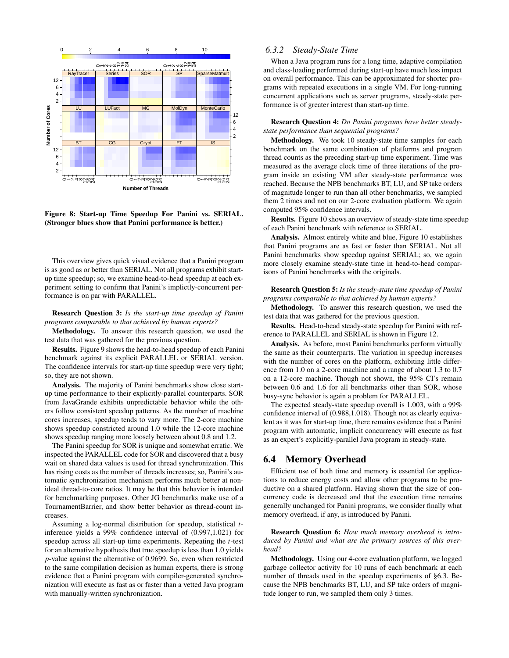

Figure 8: Start-up Time Speedup For Panini vs. SERIAL. (Stronger blues show that Panini performance is better.)

This overview gives quick visual evidence that a Panini program is as good as or better than SERIAL. Not all programs exhibit startup time speedup; so, we examine head-to-head speedup at each experiment setting to confirm that Panini's implictly-concurrent performance is on par with PARALLEL.

Research Question 3: *Is the start-up time speedup of Panini programs comparable to that achieved by human experts?*

Methodology. To answer this research question, we used the test data that was gathered for the previous question.

Results. Figure 9 shows the head-to-head speedup of each Panini benchmark against its explicit PARALLEL or SERIAL version. The confidence intervals for start-up time speedup were very tight; so, they are not shown.

Analysis. The majority of Panini benchmarks show close startup time performance to their explicitly-parallel counterparts. SOR from JavaGrande exhibits unpredictable behavior while the others follow consistent speedup patterns. As the number of machine cores increases, speedup tends to vary more. The 2-core machine shows speedup constricted around 1.0 while the 12-core machine shows speedup ranging more loosely between about 0.8 and 1.2.

The Panini speedup for SOR is unique and somewhat erratic. We inspected the PARALLEL code for SOR and discovered that a busy wait on shared data values is used for thread synchronization. This has rising costs as the number of threads increases; so, Panini's automatic synchronization mechanism performs much better at nonideal thread-to-core ratios. It may be that this behavior is intended for benchmarking purposes. Other JG benchmarks make use of a TournamentBarrier, and show better behavior as thread-count increases.

Assuming a log-normal distribution for speedup, statistical *t*inference yields a 99% confidence interval of (0.997,1.021) for speedup across all start-up time experiments. Repeating the *t*-test for an alternative hypothesis that true speedup is less than 1.0 yields *p*-value against the alternative of 0.9699. So, even when restricted to the same compilation decision as human experts, there is strong evidence that a Panini program with compiler-generated synchronization will execute as fast as or faster than a vetted Java program with manually-written synchronization.

## *6.3.2 Steady-State Time*

When a Java program runs for a long time, adaptive compilation and class-loading performed during start-up have much less impact on overall performance. This can be approximated for shorter programs with repeated executions in a single VM. For long-running concurrent applications such as server programs, steady-state performance is of greater interest than start-up time.

#### Research Question 4: *Do Panini programs have better steadystate performance than sequential programs?*

Methodology. We took 10 steady-state time samples for each benchmark on the same combination of platforms and program thread counts as the preceding start-up time experiment. Time was measured as the average clock time of three iterations of the program inside an existing VM after steady-state performance was reached. Because the NPB benchmarks BT, LU, and SP take orders of magnitude longer to run than all other benchmarks, we sampled them 2 times and not on our 2-core evaluation platform. We again computed 95% confidence intervals.

Results. Figure 10 shows an overview of steady-state time speedup of each Panini benchmark with reference to SERIAL.

Analysis. Almost entirely white and blue, Figure 10 establishes that Panini programs are as fast or faster than SERIAL. Not all Panini benchmarks show speedup against SERIAL; so, we again more closely examine steady-state time in head-to-head comparisons of Panini benchmarks with the originals.

Research Question 5: *Is the steady-state time speedup of Panini programs comparable to that achieved by human experts?*

Methodology. To answer this research question, we used the test data that was gathered for the previous question.

Results. Head-to-head steady-state speedup for Panini with reference to PARALLEL and SERIAL is shown in Figure 12.

Analysis. As before, most Panini benchmarks perform virtually the same as their counterparts. The variation in speedup increases with the number of cores on the platform, exhibiting little difference from 1.0 on a 2-core machine and a range of about 1.3 to 0.7 on a 12-core machine. Though not shown, the 95% CI's remain between 0.6 and 1.6 for all benchmarks other than SOR, whose busy-sync behavior is again a problem for PARALLEL.

The expected steady-state speedup overall is 1.003, with a 99% confidence interval of (0.988,1.018). Though not as clearly equivalent as it was for start-up time, there remains evidence that a Panini program with automatic, implicit concurrency will execute as fast as an expert's explicitly-parallel Java program in steady-state.

## 6.4 Memory Overhead

Efficient use of both time and memory is essential for applications to reduce energy costs and allow other programs to be productive on a shared platform. Having shown that the size of concurrency code is decreased and that the execution time remains generally unchanged for Panini programs, we consider finally what memory overhead, if any, is introduced by Panini.

Research Question 6: *How much memory overhead is introduced by Panini and what are the primary sources of this overhead?*

Methodology. Using our 4-core evaluation platform, we logged garbage collector activity for 10 runs of each benchmark at each number of threads used in the speedup experiments of §6.3. Because the NPB benchmarks BT, LU, and SP take orders of magnitude longer to run, we sampled them only 3 times.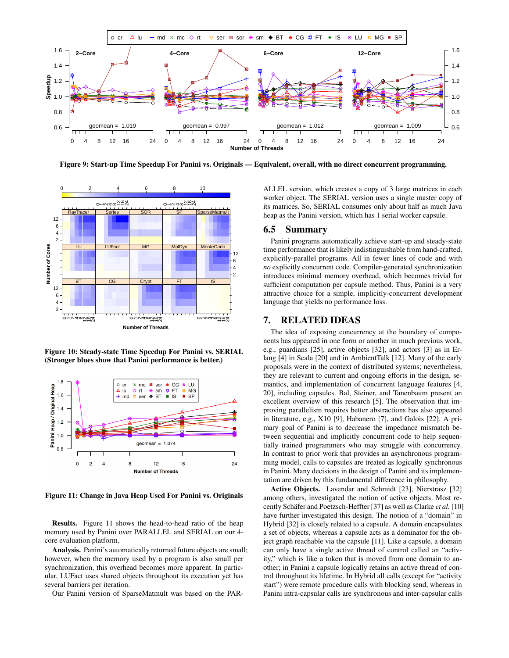

Figure 9: Start-up Time Speedup For Panini vs. Originals — Equivalent, overall, with no direct concurrent programming.



Figure 10: Steady-state Time Speedup For Panini vs. SERIAL (Stronger blues show that Panini performance is better.)



Figure 11: Change in Java Heap Used For Panini vs. Originals

Results. Figure 11 shows the head-to-head ratio of the heap memory used by Panini over PARALLEL and SERIAL on our 4 core evaluation platform.

Analysis. Panini's automatically returned future objects are small; however, when the memory used by a program is also small per synchronization, this overhead becomes more apparent. In particular, LUFact uses shared objects throughout its execution yet has several barriers per iteration.

Our Panini version of SparseMatmult was based on the PAR-

ALLEL version, which creates a copy of 3 large matrices in each worker object. The SERIAL version uses a single master copy of its matrices. So, SERIAL consumes only about half as much Java heap as the Panini version, which has 1 serial worker capsule.

#### 6.5 Summary

Panini programs automatically achieve start-up and steady-state time performance that is likely indistinguishable from hand-crafted, explicitly-parallel programs. All in fewer lines of code and with *no* explicitly concurrent code. Compiler-generated synchronization introduces minimal memory overhead, which becomes trivial for sufficient computation per capsule method. Thus, Panini is a very attractive choice for a simple, implicitly-concurrent development language that yields no performance loss.

## 7. RELATED IDEAS

The idea of exposing concurrency at the boundary of components has appeared in one form or another in much previous work, e.g., guardians [25], active objects [32], and actors [3] as in Erlang [4] in Scala [20] and in AmbientTalk [12]. Many of the early proposals were in the context of distributed systems; nevertheless, they are relevant to current and ongoing efforts in the design, semantics, and implementation of concurrent language features [4, 20], including capsules. Bal, Steiner, and Tanenbaum present an excellent overview of this research [5]. The observation that improving parallelism requires better abstractions has also appeared in literature, e.g., X10 [9], Habanero [7], and Galois [22]. A primary goal of Panini is to decrease the impedance mismatch between sequential and implicitly concurrent code to help sequentially trained programmers who may struggle with concurrency. In contrast to prior work that provides an asynchronous programming model, calls to capsules are treated as logically synchronous in Panini. Many decisions in the design of Panini and its implementation are driven by this fundamental difference in philosophy.

Active Objects. Lavendar and Schmidt [23], Nierstrasz [32] among others, investigated the notion of active objects. Most recently Schäfer and Poetzsch-Heffter [37] as well as Clarke *et al.* [10] have further investigated this design. The notion of a "domain" in Hybrid [32] is closely related to a capsule. A domain encapsulates a set of objects, whereas a capsule acts as a dominator for the object graph reachable via the capsule [11]. Like a capsule, a domain can only have a single active thread of control called an "activity," which is like a token that is moved from one domain to another; in Panini a capsule logically retains an active thread of control throughout its lifetime. In Hybrid all calls (except for "activity start") were remote procedure calls with blocking send, whereas in Panini intra-capsular calls are synchronous and inter-capsular calls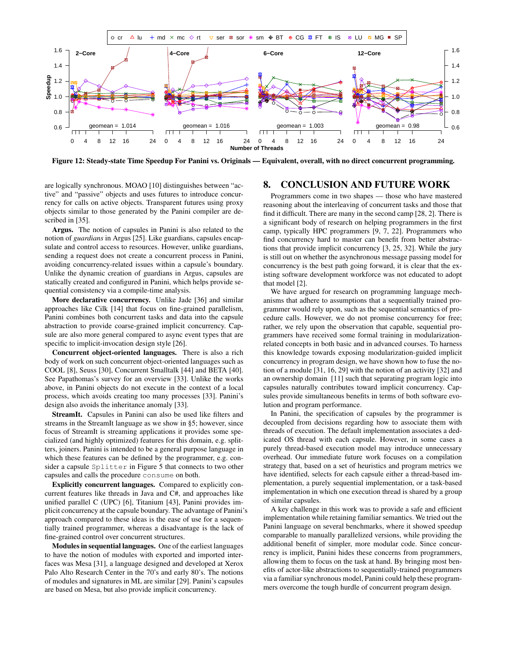

Figure 12: Steady-state Time Speedup For Panini vs. Originals — Equivalent, overall, with no direct concurrent programming.

are logically synchronous. MOAO [10] distinguishes between "active" and "passive" objects and uses futures to introduce concurrency for calls on active objects. Transparent futures using proxy objects similar to those generated by the Panini compiler are described in [35].

Argus. The notion of capsules in Panini is also related to the notion of *guardians* in Argus [25]. Like guardians, capsules encapsulate and control access to resources. However, unlike guardians, sending a request does not create a concurrent process in Panini, avoiding concurrency-related issues within a capsule's boundary. Unlike the dynamic creation of guardians in Argus, capsules are statically created and configured in Panini, which helps provide sequential consistency via a compile-time analysis.

More declarative concurrency. Unlike Jade [36] and similar approaches like Cilk [14] that focus on fine-grained parallelism, Panini combines both concurrent tasks and data into the capsule abstraction to provide coarse-grained implicit concurrency. Capsule are also more general compared to async event types that are specific to implicit-invocation design style [26].

Concurrent object-oriented languages. There is also a rich body of work on such concurrent object-oriented languages such as COOL [8], Seuss [30], Concurrent Smalltalk [44] and BETA [40]. See Papathomas's survey for an overview [33]. Unlike the works above, in Panini objects do not execute in the context of a local process, which avoids creating too many processes [33]. Panini's design also avoids the inheritance anomaly [33].

StreamIt. Capsules in Panini can also be used like filters and streams in the StreamIt language as we show in §5; however, since focus of StreamIt is streaming applications it provides some specialized (and highly optimized) features for this domain, e.g. splitters, joiners. Panini is intended to be a general purpose language in which these features can be defined by the programmer, e.g. consider a capsule Splitter in Figure 5 that connects to two other capsules and calls the procedure consume on both.

Explicitly concurrent languages. Compared to explicitly concurrent features like threads in Java and C#, and approaches like unified parallel C (UPC) [6], Titanium [43], Panini provides implicit concurrency at the capsule boundary. The advantage of Panini's approach compared to these ideas is the ease of use for a sequentially trained programmer, whereas a disadvantage is the lack of fine-grained control over concurrent structures.

Modules in sequential languages. One of the earliest languages to have the notion of modules with exported and imported interfaces was Mesa [31], a language designed and developed at Xerox Palo Alto Research Center in the 70's and early 80's. The notions of modules and signatures in ML are similar [29]. Panini's capsules are based on Mesa, but also provide implicit concurrency.

### 8. CONCLUSION AND FUTURE WORK

Programmers come in two shapes — those who have mastered reasoning about the interleaving of concurrent tasks and those that find it difficult. There are many in the second camp [28, 2]. There is a significant body of research on helping programmers in the first camp, typically HPC programmers [9, 7, 22]. Programmers who find concurrency hard to master can benefit from better abstractions that provide implicit concurrency [3, 25, 32]. While the jury is still out on whether the asynchronous message passing model for concurrency is the best path going forward, it is clear that the existing software development workforce was not educated to adopt that model [2].

We have argued for research on programming language mechanisms that adhere to assumptions that a sequentially trained programmer would rely upon, such as the sequential semantics of procedure calls. However, we do not promise concurrency for free; rather, we rely upon the observation that capable, sequential programmers have received some formal training in modularizationrelated concepts in both basic and in advanced courses. To harness this knowledge towards exposing modularization-guided implicit concurrency in program design, we have shown how to fuse the notion of a module [31, 16, 29] with the notion of an activity [32] and an ownership domain [11] such that separating program logic into capsules naturally contributes toward implicit concurrency. Capsules provide simultaneous benefits in terms of both software evolution and program performance.

In Panini, the specification of capsules by the programmer is decoupled from decisions regarding how to associate them with threads of execution. The default implementation associates a dedicated OS thread with each capsule. However, in some cases a purely thread-based execution model may introduce unnecessary overhead. Our immediate future work focuses on a compilation strategy that, based on a set of heuristics and program metrics we have identified, selects for each capsule either a thread-based implementation, a purely sequential implementation, or a task-based implementation in which one execution thread is shared by a group of similar capsules.

A key challenge in this work was to provide a safe and efficient implementation while retaining familiar semantics. We tried out the Panini language on several benchmarks, where it showed speedup comparable to manually parallelized versions, while providing the additional benefit of simpler, more modular code. Since concurrency is implicit, Panini hides these concerns from programmers, allowing them to focus on the task at hand. By bringing most benefits of actor-like abstractions to sequentially-trained programmers via a familiar synchronous model, Panini could help these programmers overcome the tough hurdle of concurrent program design.